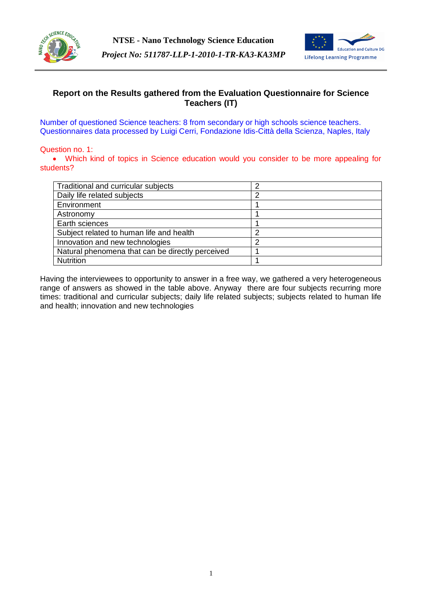



# **Report on the Results gathered from the Evaluation Questionnaire for Science Teachers (IT)**

Number of questioned Science teachers: 8 from secondary or high schools science teachers. Questionnaires data processed by Luigi Cerri, Fondazione Idis-Città della Scienza, Naples, Italy

### Question no. 1:

 Which kind of topics in Science education would you consider to be more appealing for students?

| Traditional and curricular subjects              | າ |
|--------------------------------------------------|---|
| Daily life related subjects                      | າ |
| Environment                                      |   |
| Astronomy                                        |   |
| Earth sciences                                   |   |
| Subject related to human life and health         | ◠ |
| Innovation and new technologies                  |   |
| Natural phenomena that can be directly perceived |   |
| <b>Nutrition</b>                                 |   |

Having the interviewees to opportunity to answer in a free way, we gathered a very heterogeneous range of answers as showed in the table above. Anyway there are four subjects recurring more times: traditional and curricular subjects; daily life related subjects; subjects related to human life and health; innovation and new technologies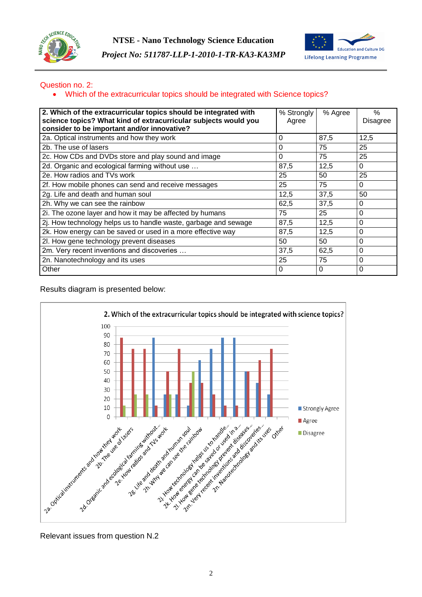



### Question no. 2:

Which of the extracurricular topics should be integrated with Science topics?

| 2. Which of the extracurricular topics should be integrated with<br>science topics? What kind of extracurricular subjects would you<br>consider to be important and/or innovative? | % Strongly<br>Agree | % Agree  | %<br>Disagree |
|------------------------------------------------------------------------------------------------------------------------------------------------------------------------------------|---------------------|----------|---------------|
| 2a. Optical instruments and how they work                                                                                                                                          | $\Omega$            | 87,5     | 12,5          |
| 2b. The use of lasers                                                                                                                                                              | 0                   | 75       | 25            |
| 2c. How CDs and DVDs store and play sound and image                                                                                                                                | $\Omega$            | 75       | 25            |
| 2d. Organic and ecological farming without use                                                                                                                                     | 87,5                | 12,5     | 0             |
| 2e. How radios and TVs work                                                                                                                                                        | 25                  | 50       | 25            |
| 2f. How mobile phones can send and receive messages                                                                                                                                | 25                  | 75       | 0             |
| 2g. Life and death and human soul                                                                                                                                                  | 12,5                | 37,5     | 50            |
| 2h. Why we can see the rainbow                                                                                                                                                     | 62,5                | 37.5     | 0             |
| 2i. The ozone layer and how it may be affected by humans                                                                                                                           | 75                  | 25       | 0             |
| 2j. How technology helps us to handle waste, garbage and sewage                                                                                                                    | 87,5                | 12,5     | 0             |
| 2k. How energy can be saved or used in a more effective way                                                                                                                        | 87,5                | 12,5     | 0             |
| 2l. How gene technology prevent diseases                                                                                                                                           | 50                  | 50       | 0             |
| 2m. Very recent inventions and discoveries                                                                                                                                         | 37,5                | 62,5     | 0             |
| 2n. Nanotechnology and its uses                                                                                                                                                    | 25                  | 75       | 0             |
| Other                                                                                                                                                                              | $\Omega$            | $\Omega$ | 0             |

### Results diagram is presented below:



Relevant issues from question N.2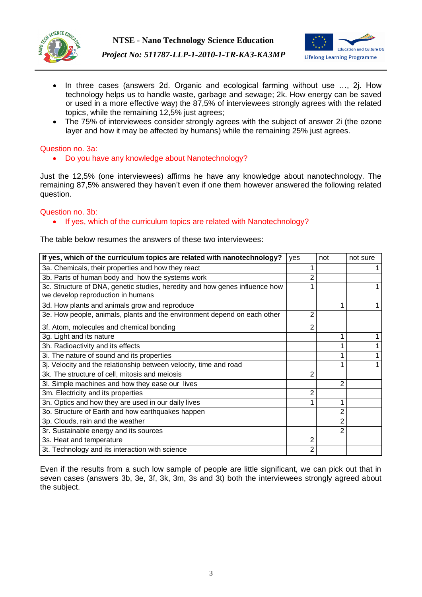



*Project No: 511787-LLP-1-2010-1-TR-KA3-KA3MP*

- In three cases (answers 2d. Organic and ecological farming without use ..., 2j. How technology helps us to handle waste, garbage and sewage; 2k. How energy can be saved or used in a more effective way) the 87,5% of interviewees strongly agrees with the related topics, while the remaining 12,5% just agrees;
- The 75% of interviewees consider strongly agrees with the subject of answer 2i (the ozone layer and how it may be affected by humans) while the remaining 25% just agrees.

# Question no. 3a:

Do you have any knowledge about Nanotechnology?

Just the 12,5% (one interviewees) affirms he have any knowledge about nanotechnology. The remaining 87,5% answered they haven't even if one them however answered the following related question.

### Question no. 3b:

### • If yes, which of the curriculum topics are related with Nanotechnology?

The table below resumes the answers of these two interviewees:

| If yes, which of the curriculum topics are related with nanotechnology?                                          | ves | not | not sure |
|------------------------------------------------------------------------------------------------------------------|-----|-----|----------|
| 3a. Chemicals, their properties and how they react                                                               |     |     |          |
| 3b. Parts of human body and how the systems work                                                                 |     |     |          |
| 3c. Structure of DNA, genetic studies, heredity and how genes influence how<br>we develop reproduction in humans |     |     |          |
| 3d. How plants and animals grow and reproduce                                                                    |     |     |          |
| 3e. How people, animals, plants and the environment depend on each other                                         | 2   |     |          |
| 3f. Atom, molecules and chemical bonding                                                                         | 2   |     |          |
| 3g. Light and its nature                                                                                         |     |     |          |
| 3h. Radioactivity and its effects                                                                                |     |     |          |
| 3i. The nature of sound and its properties                                                                       |     |     |          |
| 3j. Velocity and the relationship between velocity, time and road                                                |     |     |          |
| 3k. The structure of cell, mitosis and meiosis                                                                   | 2   |     |          |
| 3l. Simple machines and how they ease our lives                                                                  |     | 2   |          |
| 3m. Electricity and its properties                                                                               | 2   |     |          |
| 3n. Optics and how they are used in our daily lives                                                              |     |     |          |
| 3o. Structure of Earth and how earthquakes happen                                                                |     | 2   |          |
| 3p. Clouds, rain and the weather                                                                                 |     | 2   |          |
| 3r. Sustainable energy and its sources                                                                           |     | 2   |          |
| 3s. Heat and temperature                                                                                         | 2   |     |          |
| 3t. Technology and its interaction with science                                                                  | 2   |     |          |

Even if the results from a such low sample of people are little significant, we can pick out that in seven cases (answers 3b, 3e, 3f, 3k, 3m, 3s and 3t) both the interviewees strongly agreed about the subject.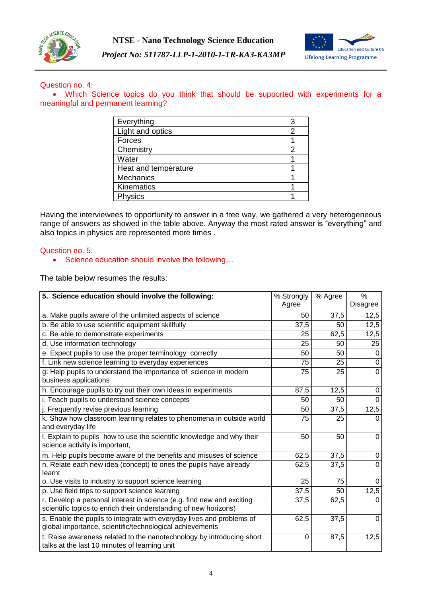



#### Question no. 4:

 Which Science topics do you think that should be supported with experiments for a meaningful and permanent learning?

| Everything           | З |
|----------------------|---|
| Light and optics     | 2 |
| Forces               |   |
| Chemistry            | 2 |
| Water                |   |
| Heat and temperature |   |
| <b>Mechanics</b>     |   |
| Kinematics           |   |
| Physics              |   |

Having the interviewees to opportunity to answer in a free way, we gathered a very heterogeneous range of answers as showed in the table above. Anyway the most rated answer is "everything" and also topics in physics are represented more times .

#### Question no. 5:

• Science education should involve the following...

The table below resumes the results:

| 5. Science education should involve the following:                                                                                        | $\overline{\%}$ Strongly<br>Agree | % Agree | $\%$<br><b>Disagree</b> |
|-------------------------------------------------------------------------------------------------------------------------------------------|-----------------------------------|---------|-------------------------|
| a. Make pupils aware of the unlimited aspects of science                                                                                  | 50                                | 37,5    | 12,5                    |
| b. Be able to use scientific equipment skillfully                                                                                         | 37,5                              | 50      | 12,5                    |
| c. Be able to demonstrate experiments                                                                                                     | 25                                | 62,5    | 12,5                    |
| d. Use information technology                                                                                                             | 25                                | 50      | 25                      |
| e. Expect pupils to use the proper terminology correctly                                                                                  | 50                                | 50      | $\Omega$                |
| f. Link new science learning to everyday experiences                                                                                      | 75                                | 25      | $\Omega$                |
| g. Help pupils to understand the importance of science in modern<br>business applications                                                 | 75                                | 25      | $\Omega$                |
| h. Encourage pupils to try out their own ideas in experiments                                                                             | 87,5                              | 12,5    | 0                       |
| i. Teach pupils to understand science concepts                                                                                            | 50                                | 50      | 0                       |
| j. Frequently revise previous learning                                                                                                    | 50                                | 37,5    | 12,5                    |
| k. Show how classroom learning relates to phenomena in outside world<br>and everyday life                                                 | 75                                | 25      | $\Omega$                |
| I. Explain to pupils how to use the scientific knowledge and why their<br>science activity is important,                                  | 50                                | 50      | $\Omega$                |
| m. Help pupils become aware of the benefits and misuses of science                                                                        | 62,5                              | 37,5    | 0                       |
| n. Relate each new idea (concept) to ones the pupils have already<br>learnt                                                               | 62,5                              | 37,5    | $\Omega$                |
| o. Use visits to industry to support science learning                                                                                     | 25                                | 75      | 0                       |
| p. Use field trips to support science learning                                                                                            | 37,5                              | 50      | 12,5                    |
| r. Develop a personal interest in science (e.g. find new and exciting<br>scientific topics to enrich their understanding of new horizons) | 37,5                              | 62,5    | $\Omega$                |
| s. Enable the pupils to integrate with everyday lives and problems of<br>global importance, scientific/technological achievements         | 62,5                              | 37,5    | $\Omega$                |
| t. Raise awareness related to the nanotechnology by introducing short<br>talks at the last 10 minutes of learning unit                    | 0                                 | 87,5    | 12,5                    |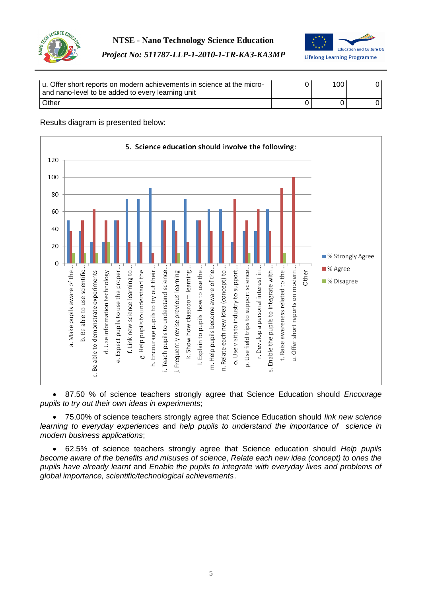



| u. Offer short reports on modern achievements in science at the micro-<br>and nano-level to be added to every learning unit | 100 |  |
|-----------------------------------------------------------------------------------------------------------------------------|-----|--|
| <b>Other</b>                                                                                                                |     |  |

# Results diagram is presented below:



 87.50 % of science teachers strongly agree that Science Education should *Encourage pupils to try out their own ideas in experiments*;

 75,00% of science teachers strongly agree that Science Education should *link new science learning to everyday experiences* and *help pupils to understand the importance of science in modern business applications*;

 62.5% of science teachers strongly agree that Science education should *Help pupils become aware of the benefits and misuses of science*, *Relate each new idea (concept) to ones the pupils have already learnt* and *Enable the pupils to integrate with everyday lives and problems of global importance, scientific/technological achievements*.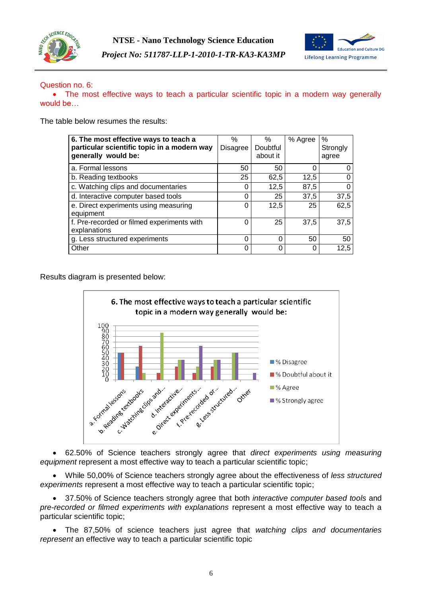



### Question no. 6:

• The most effective ways to teach a particular scientific topic in a modern way generally would be…

The table below resumes the results:

| 6. The most effective ways to teach a<br>particular scientific topic in a modern way<br>generally would be: | $\%$<br><b>Disagree</b> | ℅<br>Doubtful<br>about it | % Agree | %<br>Strongly<br>agree |
|-------------------------------------------------------------------------------------------------------------|-------------------------|---------------------------|---------|------------------------|
| a. Formal lessons                                                                                           | 50                      | 50                        | 0       |                        |
| b. Reading textbooks                                                                                        | 25                      | 62,5                      | 12,5    |                        |
| c. Watching clips and documentaries                                                                         | C                       | 12,5                      | 87,5    |                        |
| d. Interactive computer based tools                                                                         | C                       | 25                        | 37,5    | 37,5                   |
| e. Direct experiments using measuring<br>equipment                                                          | 0                       | 12,5                      | 25      | 62,5                   |
| f. Pre-recorded or filmed experiments with<br>explanations                                                  | 0                       | 25                        | 37,5    | 37,5                   |
| g. Less structured experiments                                                                              | 0                       | 0                         | 50      | 50                     |
| Other                                                                                                       |                         | 0                         | 0       | 12,5                   |

Results diagram is presented below:



 62.50% of Science teachers strongly agree that *direct experiments using measuring equipment* represent a most effective way to teach a particular scientific topic;

 While 50,00% of Science teachers strongly agree about the effectiveness of *less structured experiments* represent a most effective way to teach a particular scientific topic;

 37.50% of Science teachers strongly agree that both *interactive computer based tools* and *pre-recorded or filmed experiments with explanations* represent a most effective way to teach a particular scientific topic;

 The 87,50% of science teachers just agree that *watching clips and documentaries represent* an effective way to teach a particular scientific topic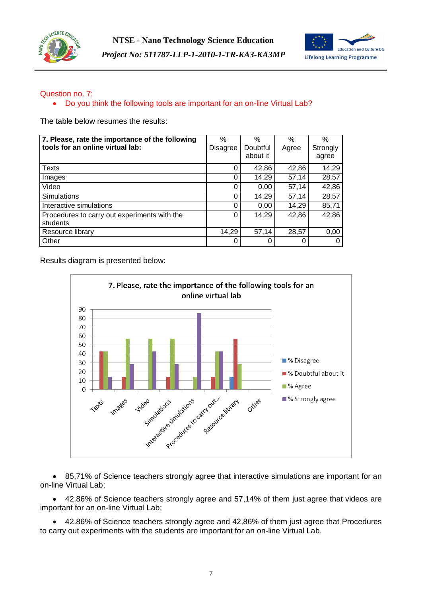



# Question no. 7:

• Do you think the following tools are important for an on-line Virtual Lab?

The table below resumes the results:

| 7. Please, rate the importance of the following<br>tools for an online virtual lab: | $\%$<br><b>Disagree</b> | $\%$<br>Doubtful<br>about it | $\%$<br>Agree | $\%$<br>Strongly<br>agree |
|-------------------------------------------------------------------------------------|-------------------------|------------------------------|---------------|---------------------------|
| Texts                                                                               | 0                       | 42,86                        | 42,86         | 14,29                     |
| Images                                                                              | 0                       | 14,29                        | 57,14         | 28,57                     |
| Video                                                                               | $\Omega$                | 0,00                         | 57,14         | 42,86                     |
| <b>Simulations</b>                                                                  | 0                       | 14,29                        | 57,14         | 28,57                     |
| Interactive simulations                                                             | 0                       | 0,00                         | 14,29         | 85,71                     |
| Procedures to carry out experiments with the<br>students                            | 0                       | 14,29                        | 42,86         | 42,86                     |
| Resource library                                                                    | 14,29                   | 57,14                        | 28,57         | 0,00                      |
| Other                                                                               | 0                       | O                            |               |                           |

Results diagram is presented below:



 85,71% of Science teachers strongly agree that interactive simulations are important for an on-line Virtual Lab;

 42.86% of Science teachers strongly agree and 57,14% of them just agree that videos are important for an on-line Virtual Lab;

 42.86% of Science teachers strongly agree and 42,86% of them just agree that Procedures to carry out experiments with the students are important for an on-line Virtual Lab.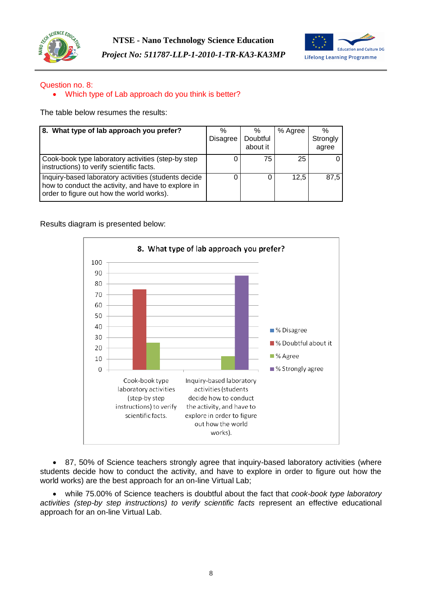



# Question no. 8:

### Which type of Lab approach do you think is better?

The table below resumes the results:

| 8. What type of lab approach you prefer?                                                                                                                 | %<br><b>Disagree</b> | $\%$<br>Doubtful<br>about it | % Agree | $\%$<br>Strongly<br>agree |
|----------------------------------------------------------------------------------------------------------------------------------------------------------|----------------------|------------------------------|---------|---------------------------|
| Cook-book type laboratory activities (step-by step<br>instructions) to verify scientific facts.                                                          | 0                    | 75                           | 25      |                           |
| Inquiry-based laboratory activities (students decide<br>how to conduct the activity, and have to explore in<br>order to figure out how the world works). |                      |                              | 12.5    | 87.5                      |

Results diagram is presented below:



 87, 50% of Science teachers strongly agree that inquiry-based laboratory activities (where students decide how to conduct the activity, and have to explore in order to figure out how the world works) are the best approach for an on-line Virtual Lab;

 while 75.00% of Science teachers is doubtful about the fact that *cook-book type laboratory activities (step-by step instructions) to verify scientific facts* represent an effective educational approach for an on-line Virtual Lab.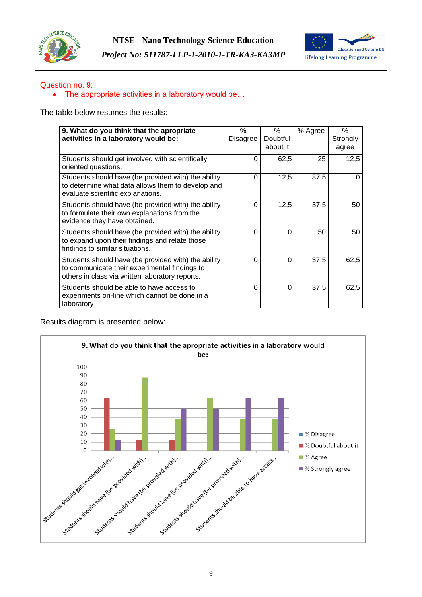



### Question no. 9:

### • The appropriate activities in a laboratory would be...

The table below resumes the results:

| 9. What do you think that the apropriate<br>activities in a laboratory would be:                                                                        | $\%$<br>Disagree | $\%$<br>Doubtful<br>about it | % Agree | $\%$<br>Strongly<br>agree |
|---------------------------------------------------------------------------------------------------------------------------------------------------------|------------------|------------------------------|---------|---------------------------|
| Students should get involved with scientifically<br>oriented questions.                                                                                 | 0                | 62,5                         | 25      | 12,5                      |
| Students should have (be provided with) the ability<br>to determine what data allows them to develop and<br>evaluate scientific explanations.           | $\Omega$         | 12,5                         | 87,5    |                           |
| Students should have (be provided with) the ability<br>to formulate their own explanations from the<br>evidence they have obtained.                     | $\Omega$         | 12,5                         | 37,5    | 50                        |
| Students should have (be provided with) the ability<br>to expand upon their findings and relate those<br>findings to similar situations.                | 0                | 0                            | 50      | 50                        |
| Students should have (be provided with) the ability<br>to communicate their experimental findings to<br>others in class via written laboratory reports. | $\Omega$         | 0                            | 37,5    | 62,5                      |
| Students should be able to have access to<br>experiments on-line which cannot be done in a<br>laboratory                                                | $\Omega$         | 0                            | 37,5    | 62,5                      |

Results diagram is presented below:

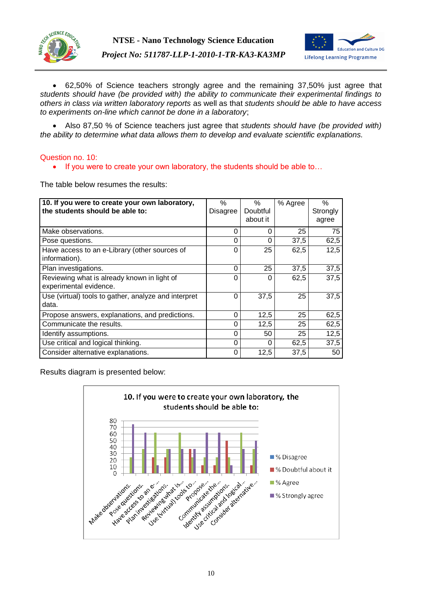



 62,50% of Science teachers strongly agree and the remaining 37,50% just agree that *students should have (be provided with) the ability to communicate their experimental findings to others in class via written laboratory reports* as well as that *students should be able to have access to experiments on-line which cannot be done in a laboratory*;

 Also 87,50 % of Science teachers just agree that *students should have (be provided with) the ability to determine what data allows them to develop and evaluate scientific explanations.*

### Question no. 10:

• If you were to create your own laboratory, the students should be able to...

The table below resumes the results:

| 10. If you were to create your own laboratory,<br>the students should be able to: | $\%$<br><b>Disagree</b> | $\%$<br>Doubtful<br>about it | % Agree | $\%$<br>Strongly<br>agree |
|-----------------------------------------------------------------------------------|-------------------------|------------------------------|---------|---------------------------|
| Make observations.                                                                | 0                       | 0                            | 25      | 75                        |
| Pose questions.                                                                   | 0                       | 0                            | 37,5    | 62,5                      |
| Have access to an e-Library (other sources of<br>information).                    | 0                       | 25                           | 62,5    | 12,5                      |
| Plan investigations.                                                              | 0                       | 25                           | 37,5    | 37,5                      |
| Reviewing what is already known in light of<br>experimental evidence.             | 0                       | 0                            | 62,5    | 37,5                      |
| Use (virtual) tools to gather, analyze and interpret<br>data.                     | 0                       | 37,5                         | 25      | 37,5                      |
| Propose answers, explanations, and predictions.                                   | 0                       | 12,5                         | 25      | 62,5                      |
| Communicate the results.                                                          | 0                       | 12,5                         | 25      | 62,5                      |
| Identify assumptions.                                                             | 0                       | 50                           | 25      | 12,5                      |
| Use critical and logical thinking.                                                | 0                       | 0                            | 62,5    | 37,5                      |
| Consider alternative explanations.                                                | 0                       | 12,5                         | 37,5    | 50                        |

Results diagram is presented below:

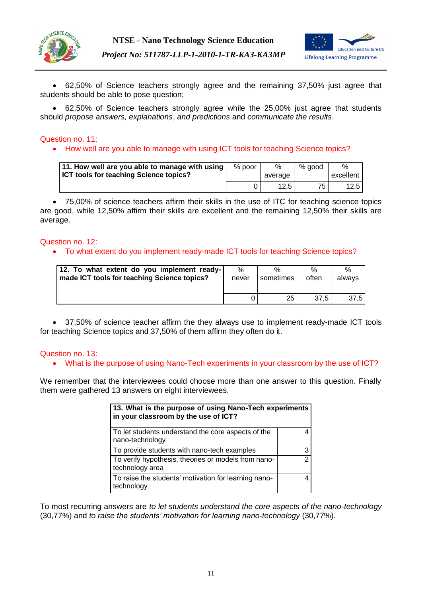



 62,50% of Science teachers strongly agree and the remaining 37,50% just agree that students should be able to pose question;

 62,50% of Science teachers strongly agree while the 25,00% just agree that students should *propose answers, explanations*, *and predictions* and *communicate the results*.

### Question no. 11:

• How well are you able to manage with using ICT tools for teaching Science topics?

| 11. How well are you able to manage with using<br><b>ICT tools for teaching Science topics?</b> | $%$ poor | %<br>average      | % good | $\frac{1}{2}$<br>excellent I |
|-------------------------------------------------------------------------------------------------|----------|-------------------|--------|------------------------------|
|                                                                                                 |          | 12.5 <sub>1</sub> | 75.    | 12.5                         |

 75,00% of science teachers affirm their skills in the use of ITC for teaching science topics are good, while 12,50% affirm their skills are excellent and the remaining 12,50% their skills are average.

### Question no. 12:

To what extent do you implement ready-made ICT tools for teaching Science topics?

| 12. To what extent do you implement ready-  | %     | $\frac{0}{6}$ | $\%$  | %      |
|---------------------------------------------|-------|---------------|-------|--------|
| made ICT tools for teaching Science topics? | never | sometimes     | often | alwavs |
|                                             |       | 25            | 37.5  | 37.5   |

 37,50% of science teacher affirm the they always use to implement ready-made ICT tools for teaching Science topics and 37,50% of them affirm they often do it.

### Question no. 13:

What is the purpose of using Nano-Tech experiments in your classroom by the use of ICT?

We remember that the interviewees could choose more than one answer to this question. Finally them were gathered 13 answers on eight interviewees.

| 13. What is the purpose of using Nano-Tech experiments<br>in your classroom by the use of ICT? |   |
|------------------------------------------------------------------------------------------------|---|
| To let students understand the core aspects of the<br>nano-technology                          |   |
| To provide students with nano-tech examples                                                    | 3 |
| To verify hypothesis, theories or models from nano-<br>technology area                         | 2 |
| To raise the students' motivation for learning nano-<br>technology                             |   |

To most recurring answers are *to let students understand the core aspects of the nano-technology* (30,77%) and *to raise the students' motivation for learning nano-technology* (30,77%).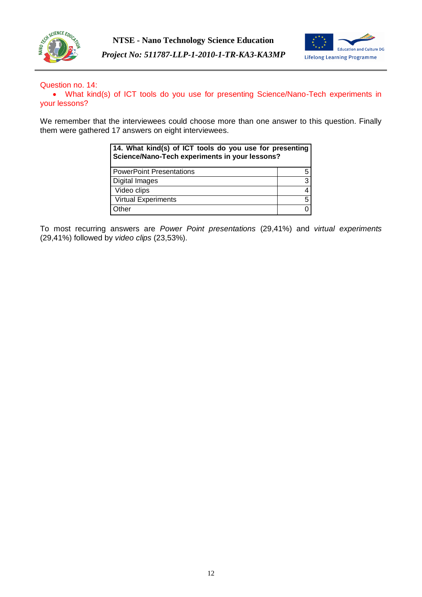



### Question no. 14:

 What kind(s) of ICT tools do you use for presenting Science/Nano-Tech experiments in your lessons?

We remember that the interviewees could choose more than one answer to this question. Finally them were gathered 17 answers on eight interviewees.

| 14. What kind(s) of ICT tools do you use for presenting<br>Science/Nano-Tech experiments in your lessons? |   |  |
|-----------------------------------------------------------------------------------------------------------|---|--|
| <b>PowerPoint Presentations</b>                                                                           | 5 |  |
| Digital Images                                                                                            | 3 |  |
| Video clips                                                                                               | 4 |  |
| <b>Virtual Experiments</b>                                                                                | 5 |  |
| Other                                                                                                     |   |  |

To most recurring answers are *Power Point presentations* (29,41%) and *virtual experiments* (29,41%) followed by *video clips* (23,53%).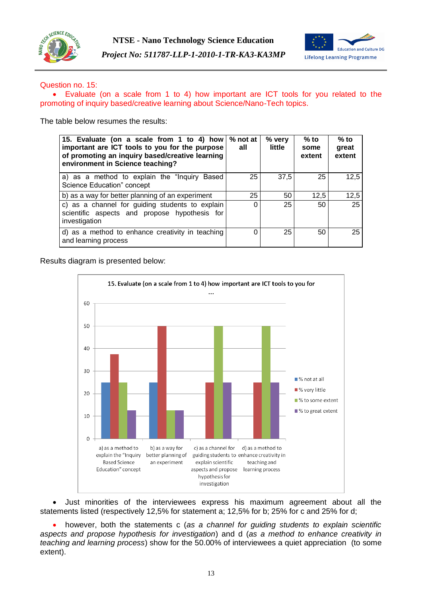



### Question no. 15:

 Evaluate (on a scale from 1 to 4) how important are ICT tools for you related to the promoting of inquiry based/creative learning about Science/Nano-Tech topics.

The table below resumes the results:

| 15. Evaluate (on a scale from 1 to 4) how<br>important are ICT tools to you for the purpose<br>of promoting an inquiry based/creative learning<br>environment in Science teaching? | % not at<br>all | % very<br>little | $%$ to<br>some<br>extent | $%$ to<br>great<br>extent |
|------------------------------------------------------------------------------------------------------------------------------------------------------------------------------------|-----------------|------------------|--------------------------|---------------------------|
| a) as a method to explain the "Inquiry Based<br>Science Education" concept                                                                                                         | 25              | 37,5             | 25                       | 12,5                      |
| b) as a way for better planning of an experiment                                                                                                                                   | 25              | 50               | 12,5                     | 12,5                      |
| c) as a channel for guiding students to explain<br>scientific aspects and propose hypothesis for<br>investigation                                                                  | $\Omega$        | 25               | 50                       | 25                        |
| d) as a method to enhance creativity in teaching<br>and learning process                                                                                                           | $\Omega$        | 25               | 50                       | 25                        |

Results diagram is presented below:



 Just minorities of the interviewees express his maximum agreement about all the statements listed (respectively 12,5% for statement a; 12,5% for b; 25% for c and 25% for d;

 however, both the statements c (*as a channel for guiding students to explain scientific aspects and propose hypothesis for investigation*) and d (*as a method to enhance creativity in teaching and learning process*) show for the 50.00% of interviewees a quiet appreciation (to some extent).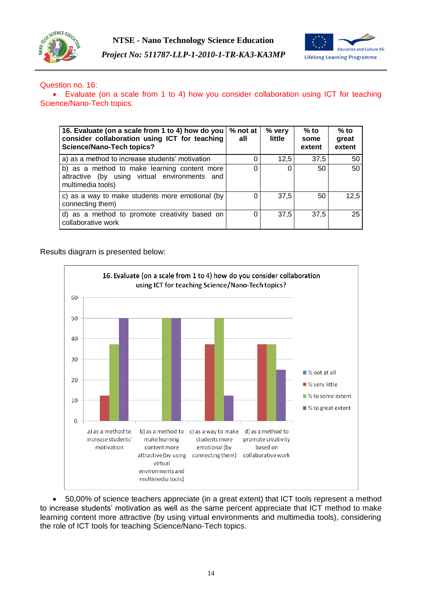



### Question no. 16:

 Evaluate (on a scale from 1 to 4) how you consider collaboration using ICT for teaching Science/Nano-Tech topics.

| 16. Evaluate (on a scale from 1 to 4) how do you  <br>consider collaboration using ICT for teaching<br><b>Science/Nano-Tech topics?</b> | % not at<br>all | % very<br>little | $%$ to<br>some<br>extent | $%$ to<br>great<br>extent |
|-----------------------------------------------------------------------------------------------------------------------------------------|-----------------|------------------|--------------------------|---------------------------|
| a) as a method to increase students' motivation                                                                                         |                 | 12,5             | 37,5                     | 50                        |
| b) as a method to make learning content more<br>attractive (by using virtual environments and<br>multimedia tools)                      |                 | 0                | 50                       | 50                        |
| c) as a way to make students more emotional (by<br>connecting them)                                                                     | 0               | 37,5             | 50                       | 12,5                      |
| d) as a method to promote creativity based on<br>collaborative work                                                                     | 0               | 37.5             | 37,5                     | 25                        |

Results diagram is presented below:



 50,00% of science teachers appreciate (in a great extent) that ICT tools represent a method to increase students' motivation as well as the same percent appreciate that ICT method to make learning content more attractive (by using virtual environments and multimedia tools), considering the role of ICT tools for teaching Science/Nano-Tech topics.